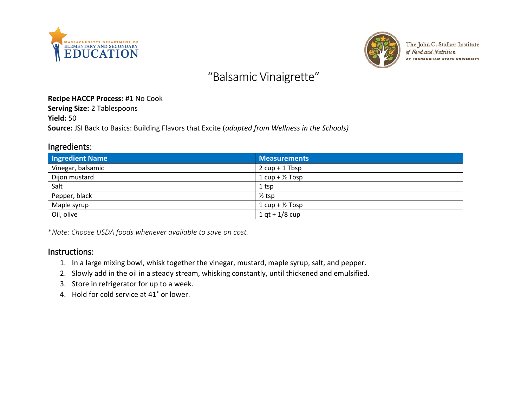



The John C. Stalker Institute of Food and Nutrition AT FRAMINGHAM STATE UNIVERSITY

# "Balsamic Vinaigrette"

#### **Recipe HACCP Process:** #1 No Cook

**Serving Size:** 2 Tablespoons

**Yield:** 50

**Source:** JSI Back to Basics: Building Flavors that Excite (*adapted from Wellness in the Schools)*

### Ingredients:

| <b>Ingredient Name</b> | <b>Measurements</b>              |
|------------------------|----------------------------------|
| Vinegar, balsamic      | $2 \text{ cup} + 1 \text{ Tbsp}$ |
| Dijon mustard          | $1 cup + \frac{1}{2} Tbsp$       |
| Salt                   | 1 <sub>tsp</sub>                 |
| Pepper, black          | $\frac{1}{2}$ tsp                |
| Maple syrup            | 1 $cup + \frac{1}{2}$ Tbsp       |
| Oil, olive             | $1 qt + 1/8 cup$                 |

\**Note: Choose USDA foods whenever available to save on cost.*

#### Instructions:

- 1. In a large mixing bowl, whisk together the vinegar, mustard, maple syrup, salt, and pepper.
- 2. Slowly add in the oil in a steady stream, whisking constantly, until thickened and emulsified.
- 3. Store in refrigerator for up to a week.
- 4. Hold for cold service at 41˚ or lower.